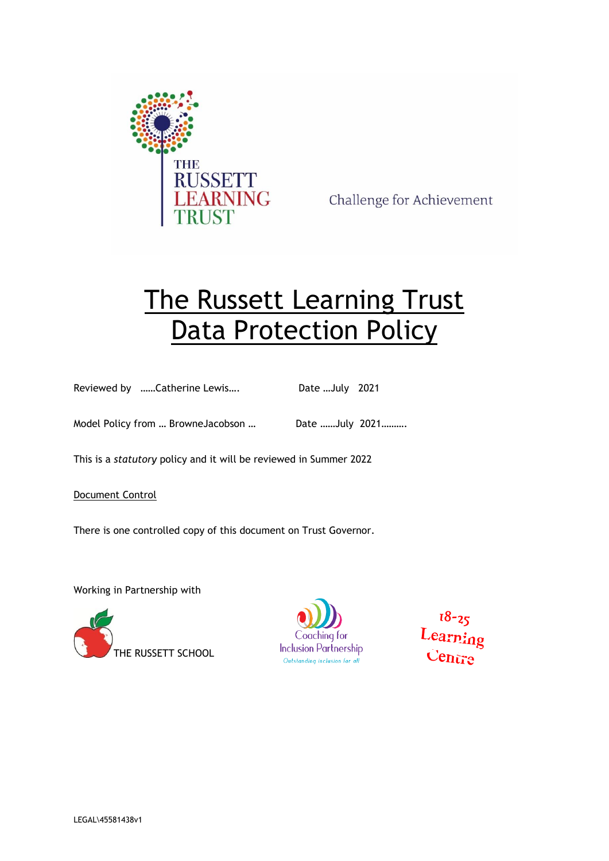

Challenge for Achievement

# The Russett Learning Trust Data Protection Policy

Reviewed by ……Catherine Lewis…. Date …July 2021

Model Policy from ... BrowneJacobson ... Date ......July 2021..........

This is a *statutory* policy and it will be reviewed in Summer 2022

Document Control

There is one controlled copy of this document on Trust Governor.

Working in Partnership with





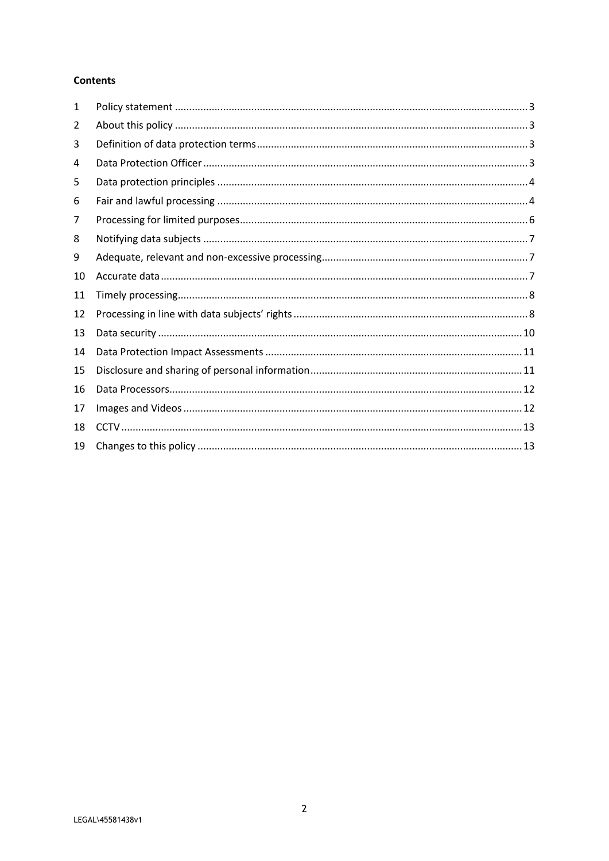## **Contents**

| 1  |  |
|----|--|
| 2  |  |
| 3  |  |
| 4  |  |
| 5  |  |
| 6  |  |
| 7  |  |
| 8  |  |
| 9  |  |
| 10 |  |
| 11 |  |
| 12 |  |
| 13 |  |
| 14 |  |
| 15 |  |
| 16 |  |
| 17 |  |
| 18 |  |
| 19 |  |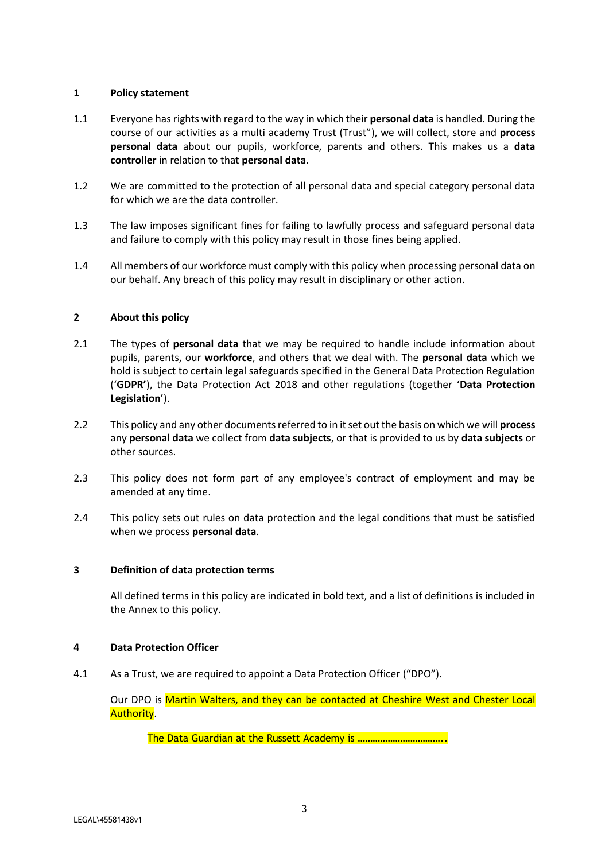## <span id="page-2-0"></span>**1 Policy statement**

- 1.1 Everyone has rights with regard to the way in which their **personal data** is handled. During the course of our activities as a multi academy Trust (Trust"), we will collect, store and **process personal data** about our pupils, workforce, parents and others. This makes us a **data controller** in relation to that **personal data**.
- 1.2 We are committed to the protection of all personal data and special category personal data for which we are the data controller.
- 1.3 The law imposes significant fines for failing to lawfully process and safeguard personal data and failure to comply with this policy may result in those fines being applied.
- 1.4 All members of our workforce must comply with this policy when processing personal data on our behalf. Any breach of this policy may result in disciplinary or other action.

# <span id="page-2-1"></span>**2 About this policy**

- 2.1 The types of **personal data** that we may be required to handle include information about pupils, parents, our **workforce**, and others that we deal with. The **personal data** which we hold is subject to certain legal safeguards specified in the General Data Protection Regulation ('**GDPR'**), the Data Protection Act 2018 and other regulations (together '**Data Protection Legislation**').
- 2.2 This policy and any other documents referred to in it set out the basis on which we will **process** any **personal data** we collect from **data subjects**, or that is provided to us by **data subjects** or other sources.
- 2.3 This policy does not form part of any employee's contract of employment and may be amended at any time.
- 2.4 This policy sets out rules on data protection and the legal conditions that must be satisfied when we process **personal data**.

## <span id="page-2-2"></span>**3 Definition of data protection terms**

All defined terms in this policy are indicated in bold text, and a list of definitions is included in the Annex to this policy.

## <span id="page-2-3"></span>**4 Data Protection Officer**

4.1 As a Trust, we are required to appoint a Data Protection Officer ("DPO").

Our DPO is Martin Walters, and they can be contacted at Cheshire West and Chester Local Authority.

The Data Guardian at the Russett Academy is ……………………………..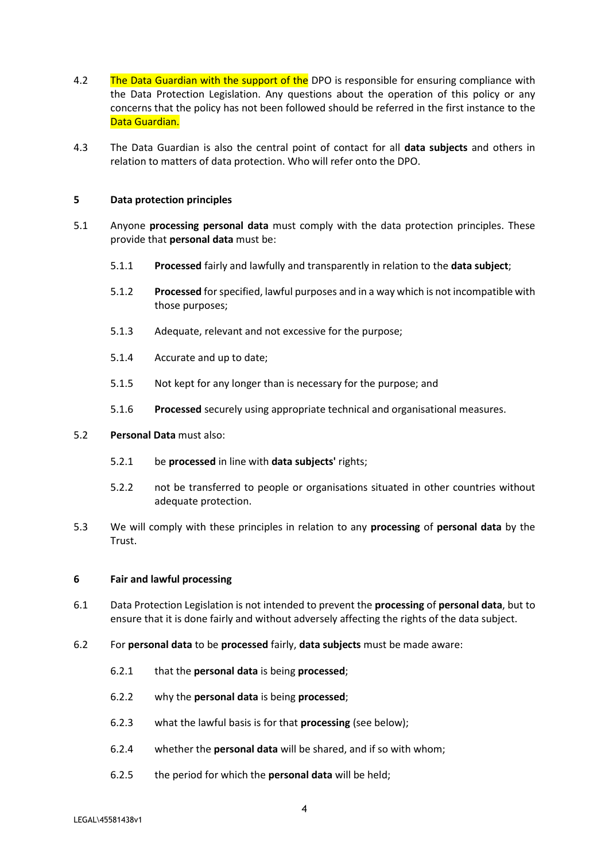- 4.2 The Data Guardian with the support of the DPO is responsible for ensuring compliance with the Data Protection Legislation. Any questions about the operation of this policy or any concerns that the policy has not been followed should be referred in the first instance to the Data Guardian.
- 4.3 The Data Guardian is also the central point of contact for all **data subjects** and others in relation to matters of data protection. Who will refer onto the DPO.

#### <span id="page-3-0"></span>**5 Data protection principles**

- 5.1 Anyone **processing personal data** must comply with the data protection principles. These provide that **personal data** must be:
	- 5.1.1 **Processed** fairly and lawfully and transparently in relation to the **data subject**;
	- 5.1.2 **Processed** for specified, lawful purposes and in a way which is not incompatible with those purposes;
	- 5.1.3 Adequate, relevant and not excessive for the purpose;
	- 5.1.4 Accurate and up to date;
	- 5.1.5 Not kept for any longer than is necessary for the purpose; and
	- 5.1.6 **Processed** securely using appropriate technical and organisational measures.
- 5.2 **Personal Data** must also:
	- 5.2.1 be **processed** in line with **data subjects'** rights;
	- 5.2.2 not be transferred to people or organisations situated in other countries without adequate protection.
- 5.3 We will comply with these principles in relation to any **processing** of **personal data** by the Trust.

## <span id="page-3-1"></span>**6 Fair and lawful processing**

- 6.1 Data Protection Legislation is not intended to prevent the **processing** of **personal data**, but to ensure that it is done fairly and without adversely affecting the rights of the data subject.
- 6.2 For **personal data** to be **processed** fairly, **data subjects** must be made aware:
	- 6.2.1 that the **personal data** is being **processed**;
	- 6.2.2 why the **personal data** is being **processed**;
	- 6.2.3 what the lawful basis is for that **processing** (see below);
	- 6.2.4 whether the **personal data** will be shared, and if so with whom;
	- 6.2.5 the period for which the **personal data** will be held;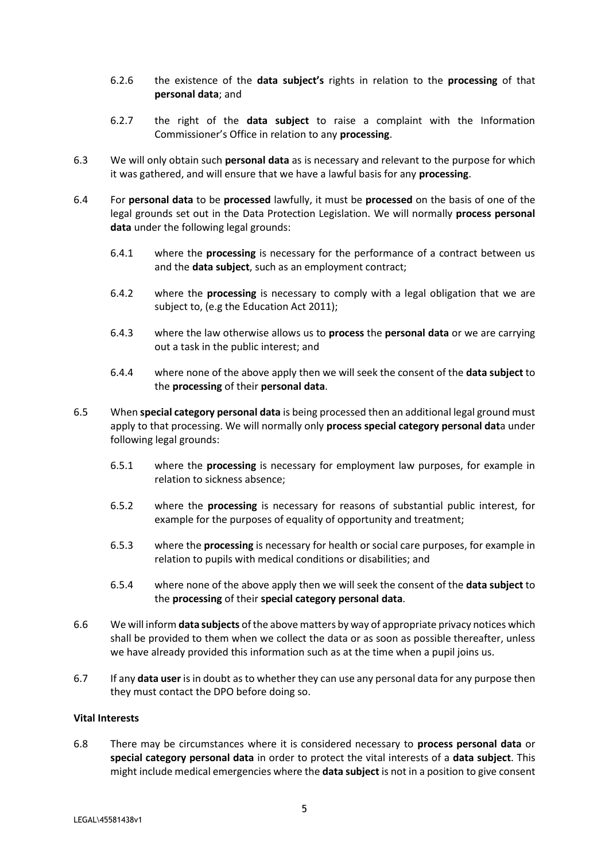- 6.2.6 the existence of the **data subject's** rights in relation to the **processing** of that **personal data**; and
- 6.2.7 the right of the **data subject** to raise a complaint with the Information Commissioner's Office in relation to any **processing**.
- 6.3 We will only obtain such **personal data** as is necessary and relevant to the purpose for which it was gathered, and will ensure that we have a lawful basis for any **processing**.
- 6.4 For **personal data** to be **processed** lawfully, it must be **processed** on the basis of one of the legal grounds set out in the Data Protection Legislation. We will normally **process personal data** under the following legal grounds:
	- 6.4.1 where the **processing** is necessary for the performance of a contract between us and the **data subject**, such as an employment contract;
	- 6.4.2 where the **processing** is necessary to comply with a legal obligation that we are subject to, (e.g the Education Act 2011);
	- 6.4.3 where the law otherwise allows us to **process** the **personal data** or we are carrying out a task in the public interest; and
	- 6.4.4 where none of the above apply then we will seek the consent of the **data subject** to the **processing** of their **personal data**.
- 6.5 When **special category personal data** is being processed then an additional legal ground must apply to that processing. We will normally only **process special category personal dat**a under following legal grounds:
	- 6.5.1 where the **processing** is necessary for employment law purposes, for example in relation to sickness absence;
	- 6.5.2 where the **processing** is necessary for reasons of substantial public interest, for example for the purposes of equality of opportunity and treatment;
	- 6.5.3 where the **processing** is necessary for health or social care purposes, for example in relation to pupils with medical conditions or disabilities; and
	- 6.5.4 where none of the above apply then we will seek the consent of the **data subject** to the **processing** of their **special category personal data**.
- 6.6 We will inform **data subjects** of the above matters by way of appropriate privacy notices which shall be provided to them when we collect the data or as soon as possible thereafter, unless we have already provided this information such as at the time when a pupil joins us.
- 6.7 If any **data user** is in doubt as to whether they can use any personal data for any purpose then they must contact the DPO before doing so.

## **Vital Interests**

6.8 There may be circumstances where it is considered necessary to **process personal data** or **special category personal data** in order to protect the vital interests of a **data subject**. This might include medical emergencies where the **data subject** is not in a position to give consent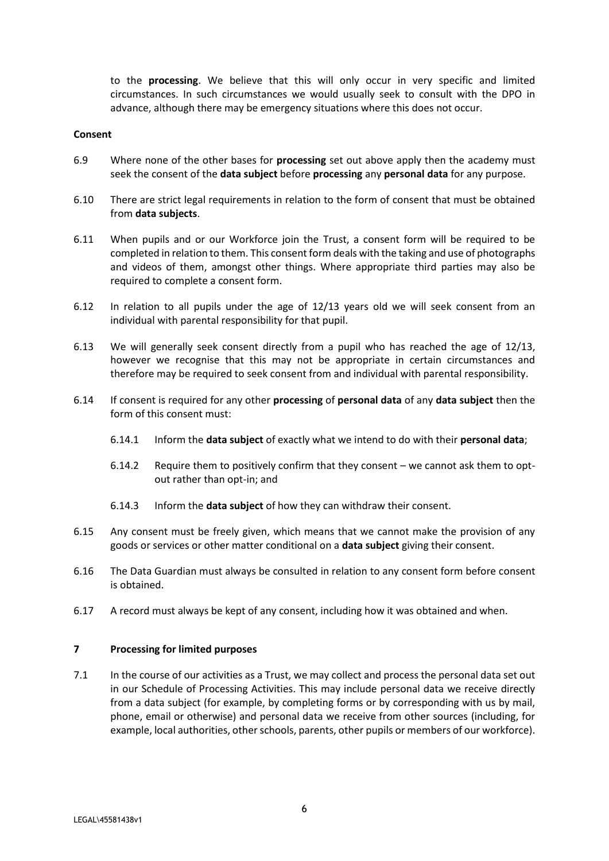to the **processing**. We believe that this will only occur in very specific and limited circumstances. In such circumstances we would usually seek to consult with the DPO in advance, although there may be emergency situations where this does not occur.

#### **Consent**

- 6.9 Where none of the other bases for **processing** set out above apply then the academy must seek the consent of the **data subject** before **processing** any **personal data** for any purpose.
- 6.10 There are strict legal requirements in relation to the form of consent that must be obtained from **data subjects**.
- 6.11 When pupils and or our Workforce join the Trust, a consent form will be required to be completed in relation to them. This consent form deals with the taking and use of photographs and videos of them, amongst other things. Where appropriate third parties may also be required to complete a consent form.
- 6.12 In relation to all pupils under the age of 12/13 years old we will seek consent from an individual with parental responsibility for that pupil.
- 6.13 We will generally seek consent directly from a pupil who has reached the age of 12/13, however we recognise that this may not be appropriate in certain circumstances and therefore may be required to seek consent from and individual with parental responsibility.
- 6.14 If consent is required for any other **processing** of **personal data** of any **data subject** then the form of this consent must:
	- 6.14.1 Inform the **data subject** of exactly what we intend to do with their **personal data**;
	- 6.14.2 Require them to positively confirm that they consent we cannot ask them to optout rather than opt-in; and
	- 6.14.3 Inform the **data subject** of how they can withdraw their consent.
- 6.15 Any consent must be freely given, which means that we cannot make the provision of any goods or services or other matter conditional on a **data subject** giving their consent.
- 6.16 The Data Guardian must always be consulted in relation to any consent form before consent is obtained.
- 6.17 A record must always be kept of any consent, including how it was obtained and when.

## <span id="page-5-0"></span>**7 Processing for limited purposes**

7.1 In the course of our activities as a Trust, we may collect and process the personal data set out in our Schedule of Processing Activities. This may include personal data we receive directly from a data subject (for example, by completing forms or by corresponding with us by mail, phone, email or otherwise) and personal data we receive from other sources (including, for example, local authorities, other schools, parents, other pupils or members of our workforce).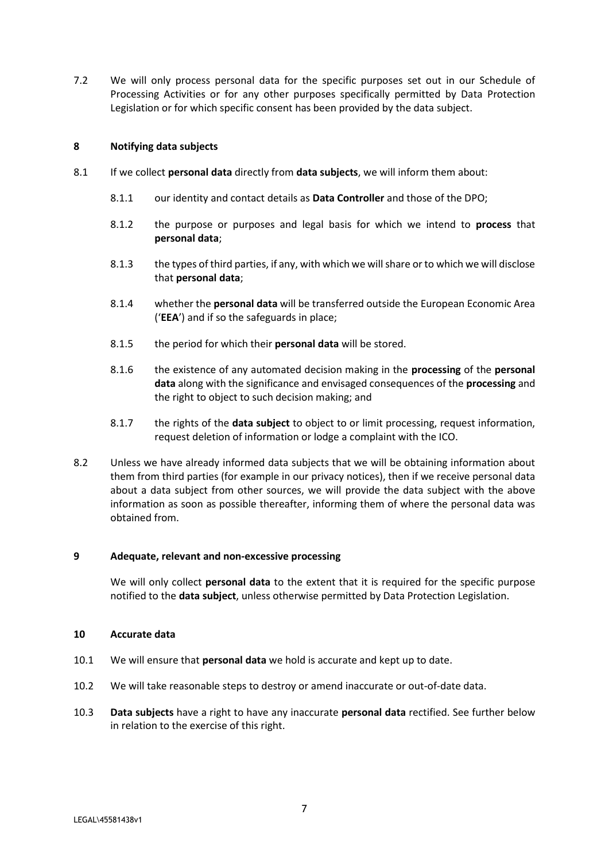7.2 We will only process personal data for the specific purposes set out in our Schedule of Processing Activities or for any other purposes specifically permitted by Data Protection Legislation or for which specific consent has been provided by the data subject.

## <span id="page-6-0"></span>**8 Notifying data subjects**

- 8.1 If we collect **personal data** directly from **data subjects**, we will inform them about:
	- 8.1.1 our identity and contact details as **Data Controller** and those of the DPO;
	- 8.1.2 the purpose or purposes and legal basis for which we intend to **process** that **personal data**;
	- 8.1.3 the types of third parties, if any, with which we will share or to which we will disclose that **personal data**;
	- 8.1.4 whether the **personal data** will be transferred outside the European Economic Area ('**EEA**') and if so the safeguards in place;
	- 8.1.5 the period for which their **personal data** will be stored.
	- 8.1.6 the existence of any automated decision making in the **processing** of the **personal data** along with the significance and envisaged consequences of the **processing** and the right to object to such decision making; and
	- 8.1.7 the rights of the **data subject** to object to or limit processing, request information, request deletion of information or lodge a complaint with the ICO.
- 8.2 Unless we have already informed data subjects that we will be obtaining information about them from third parties (for example in our privacy notices), then if we receive personal data about a data subject from other sources, we will provide the data subject with the above information as soon as possible thereafter, informing them of where the personal data was obtained from.

## <span id="page-6-1"></span>**9 Adequate, relevant and non-excessive processing**

We will only collect **personal data** to the extent that it is required for the specific purpose notified to the **data subject**, unless otherwise permitted by Data Protection Legislation.

## <span id="page-6-2"></span>**10 Accurate data**

- 10.1 We will ensure that **personal data** we hold is accurate and kept up to date.
- 10.2 We will take reasonable steps to destroy or amend inaccurate or out-of-date data.
- 10.3 **Data subjects** have a right to have any inaccurate **personal data** rectified. See further below in relation to the exercise of this right.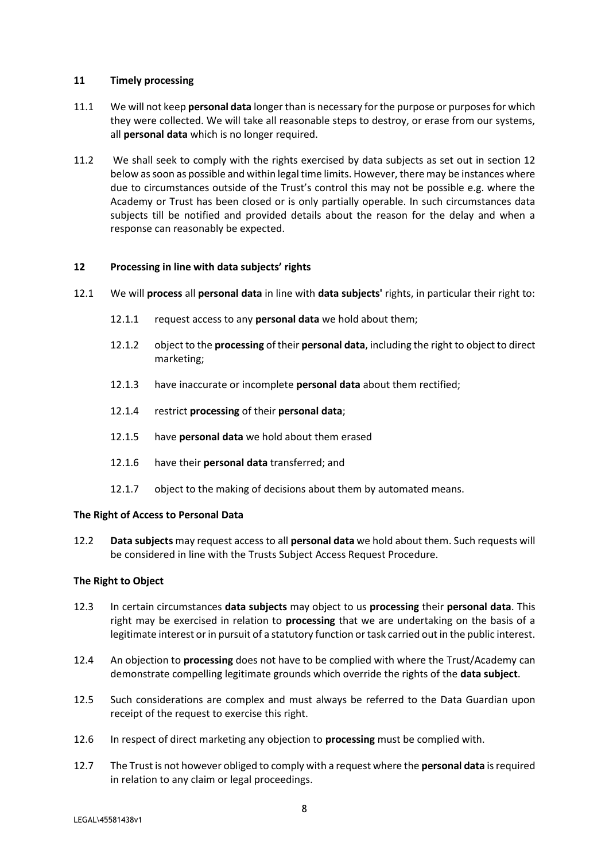#### <span id="page-7-0"></span>**11 Timely processing**

- 11.1 We will not keep **personal data** longer than is necessary for the purpose or purposes for which they were collected. We will take all reasonable steps to destroy, or erase from our systems, all **personal data** which is no longer required.
- 11.2 We shall seek to comply with the rights exercised by data subjects as set out in section 12 below as soon as possible and within legal time limits. However, there may be instances where due to circumstances outside of the Trust's control this may not be possible e.g. where the Academy or Trust has been closed or is only partially operable. In such circumstances data subjects till be notified and provided details about the reason for the delay and when a response can reasonably be expected.

## <span id="page-7-1"></span>**12 Processing in line with data subjects' rights**

- 12.1 We will **process** all **personal data** in line with **data subjects'** rights, in particular their right to:
	- 12.1.1 request access to any **personal data** we hold about them;
	- 12.1.2 object to the **processing** of their **personal data**, including the right to object to direct marketing;
	- 12.1.3 have inaccurate or incomplete **personal data** about them rectified;
	- 12.1.4 restrict **processing** of their **personal data**;
	- 12.1.5 have **personal data** we hold about them erased
	- 12.1.6 have their **personal data** transferred; and
	- 12.1.7 object to the making of decisions about them by automated means.

## **The Right of Access to Personal Data**

12.2 **Data subjects** may request access to all **personal data** we hold about them. Such requests will be considered in line with the Trusts Subject Access Request Procedure.

## **The Right to Object**

- 12.3 In certain circumstances **data subjects** may object to us **processing** their **personal data**. This right may be exercised in relation to **processing** that we are undertaking on the basis of a legitimate interest or in pursuit of a statutory function or task carried out in the public interest.
- 12.4 An objection to **processing** does not have to be complied with where the Trust/Academy can demonstrate compelling legitimate grounds which override the rights of the **data subject**.
- 12.5 Such considerations are complex and must always be referred to the Data Guardian upon receipt of the request to exercise this right.
- 12.6 In respect of direct marketing any objection to **processing** must be complied with.
- 12.7 The Trust is not however obliged to comply with a request where the **personal data** is required in relation to any claim or legal proceedings.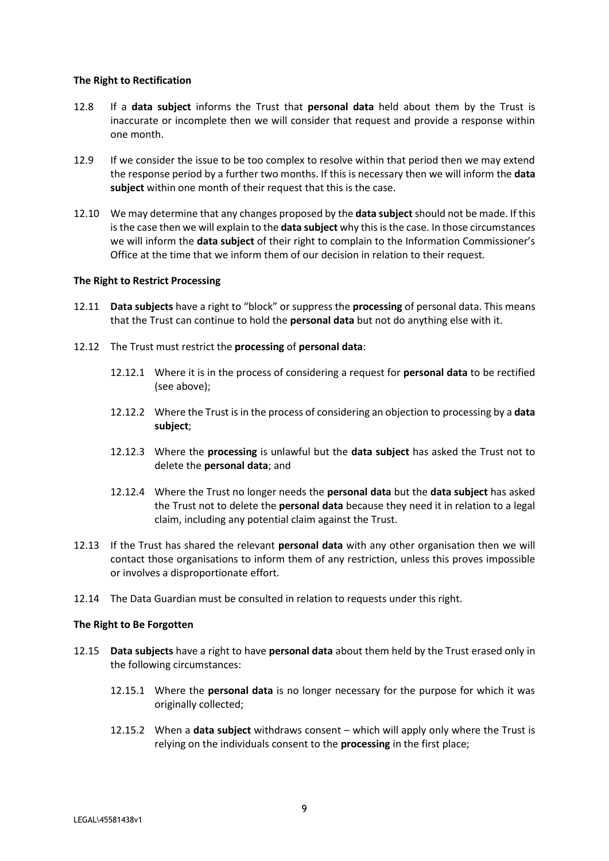#### **The Right to Rectification**

- 12.8 If a **data subject** informs the Trust that **personal data** held about them by the Trust is inaccurate or incomplete then we will consider that request and provide a response within one month.
- 12.9 If we consider the issue to be too complex to resolve within that period then we may extend the response period by a further two months. If this is necessary then we will inform the **data subject** within one month of their request that this is the case.
- 12.10 We may determine that any changes proposed by the **data subject** should not be made. If this is the case then we will explain to the **data subject** why this is the case. In those circumstances we will inform the **data subject** of their right to complain to the Information Commissioner's Office at the time that we inform them of our decision in relation to their request.

## **The Right to Restrict Processing**

- 12.11 **Data subjects** have a right to "block" or suppress the **processing** of personal data. This means that the Trust can continue to hold the **personal data** but not do anything else with it.
- 12.12 The Trust must restrict the **processing** of **personal data**:
	- 12.12.1 Where it is in the process of considering a request for **personal data** to be rectified (see above);
	- 12.12.2 Where the Trust is in the process of considering an objection to processing by a **data subject**;
	- 12.12.3 Where the **processing** is unlawful but the **data subject** has asked the Trust not to delete the **personal data**; and
	- 12.12.4 Where the Trust no longer needs the **personal data** but the **data subject** has asked the Trust not to delete the **personal data** because they need it in relation to a legal claim, including any potential claim against the Trust.
- 12.13 If the Trust has shared the relevant **personal data** with any other organisation then we will contact those organisations to inform them of any restriction, unless this proves impossible or involves a disproportionate effort.
- 12.14 The Data Guardian must be consulted in relation to requests under this right.

#### **The Right to Be Forgotten**

- 12.15 **Data subjects** have a right to have **personal data** about them held by the Trust erased only in the following circumstances:
	- 12.15.1 Where the **personal data** is no longer necessary for the purpose for which it was originally collected;
	- 12.15.2 When a **data subject** withdraws consent which will apply only where the Trust is relying on the individuals consent to the **processing** in the first place;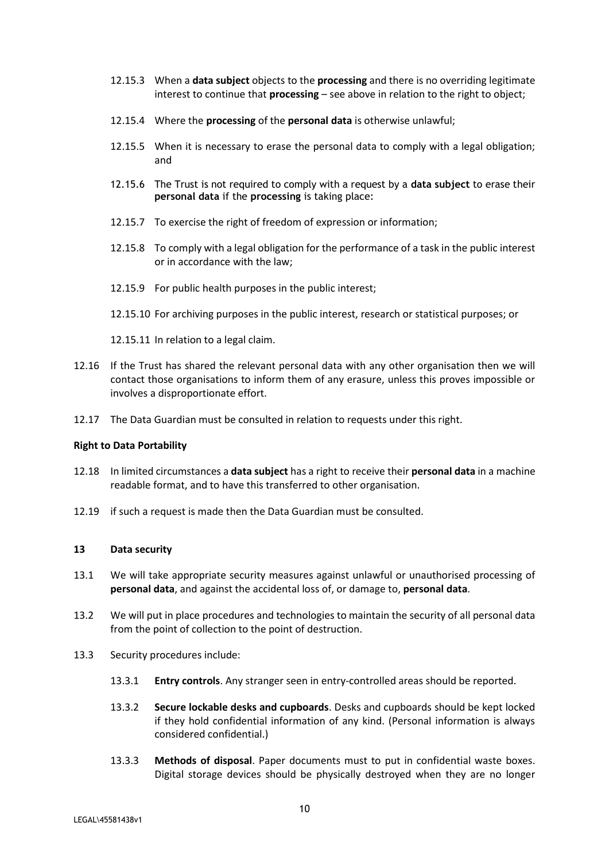- 12.15.3 When a **data subject** objects to the **processing** and there is no overriding legitimate interest to continue that **processing** – see above in relation to the right to object;
- 12.15.4 Where the **processing** of the **personal data** is otherwise unlawful;
- 12.15.5 When it is necessary to erase the personal data to comply with a legal obligation; and
- 12.15.6 The Trust is not required to comply with a request by a **data subject** to erase their **personal data** if the **processing** is taking place:
- 12.15.7 To exercise the right of freedom of expression or information;
- 12.15.8 To comply with a legal obligation for the performance of a task in the public interest or in accordance with the law;
- 12.15.9 For public health purposes in the public interest;
- 12.15.10 For archiving purposes in the public interest, research or statistical purposes; or
- 12.15.11 In relation to a legal claim.
- 12.16 If the Trust has shared the relevant personal data with any other organisation then we will contact those organisations to inform them of any erasure, unless this proves impossible or involves a disproportionate effort.
- 12.17 The Data Guardian must be consulted in relation to requests under this right.

#### **Right to Data Portability**

- 12.18 In limited circumstances a **data subject** has a right to receive their **personal data** in a machine readable format, and to have this transferred to other organisation.
- 12.19 if such a request is made then the Data Guardian must be consulted.

## <span id="page-9-0"></span>**13 Data security**

- 13.1 We will take appropriate security measures against unlawful or unauthorised processing of **personal data**, and against the accidental loss of, or damage to, **personal data**.
- 13.2 We will put in place procedures and technologies to maintain the security of all personal data from the point of collection to the point of destruction.
- 13.3 Security procedures include:
	- 13.3.1 **Entry controls**. Any stranger seen in entry-controlled areas should be reported.
	- 13.3.2 **Secure lockable desks and cupboards**. Desks and cupboards should be kept locked if they hold confidential information of any kind. (Personal information is always considered confidential.)
	- 13.3.3 **Methods of disposal**. Paper documents must to put in confidential waste boxes. Digital storage devices should be physically destroyed when they are no longer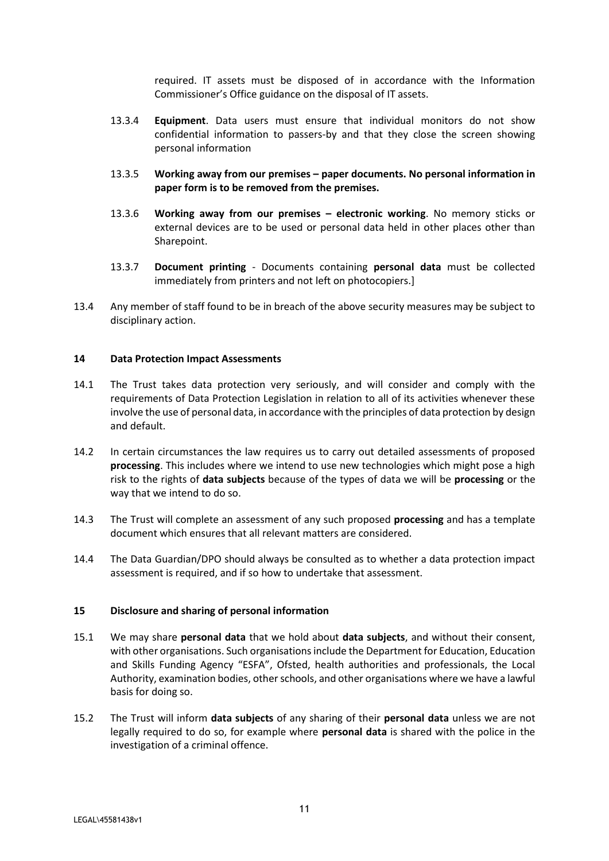required. IT assets must be disposed of in accordance with the Information Commissioner's Office guidance on the disposal of IT assets.

- 13.3.4 **Equipment**. Data users must ensure that individual monitors do not show confidential information to passers-by and that they close the screen showing personal information
- 13.3.5 **Working away from our premises – paper documents. No personal information in paper form is to be removed from the premises.**
- 13.3.6 **Working away from our premises – electronic working**. No memory sticks or external devices are to be used or personal data held in other places other than Sharepoint.
- 13.3.7 **Document printing** Documents containing **personal data** must be collected immediately from printers and not left on photocopiers.]
- 13.4 Any member of staff found to be in breach of the above security measures may be subject to disciplinary action.

## <span id="page-10-0"></span>**14 Data Protection Impact Assessments**

- 14.1 The Trust takes data protection very seriously, and will consider and comply with the requirements of Data Protection Legislation in relation to all of its activities whenever these involve the use of personal data, in accordance with the principles of data protection by design and default.
- 14.2 In certain circumstances the law requires us to carry out detailed assessments of proposed **processing**. This includes where we intend to use new technologies which might pose a high risk to the rights of **data subjects** because of the types of data we will be **processing** or the way that we intend to do so.
- 14.3 The Trust will complete an assessment of any such proposed **processing** and has a template document which ensures that all relevant matters are considered.
- 14.4 The Data Guardian/DPO should always be consulted as to whether a data protection impact assessment is required, and if so how to undertake that assessment.

## <span id="page-10-1"></span>**15 Disclosure and sharing of personal information**

- 15.1 We may share **personal data** that we hold about **data subjects**, and without their consent, with other organisations. Such organisations include the Department for Education, Education and Skills Funding Agency "ESFA", Ofsted, health authorities and professionals, the Local Authority, examination bodies, other schools, and other organisations where we have a lawful basis for doing so.
- 15.2 The Trust will inform **data subjects** of any sharing of their **personal data** unless we are not legally required to do so, for example where **personal data** is shared with the police in the investigation of a criminal offence.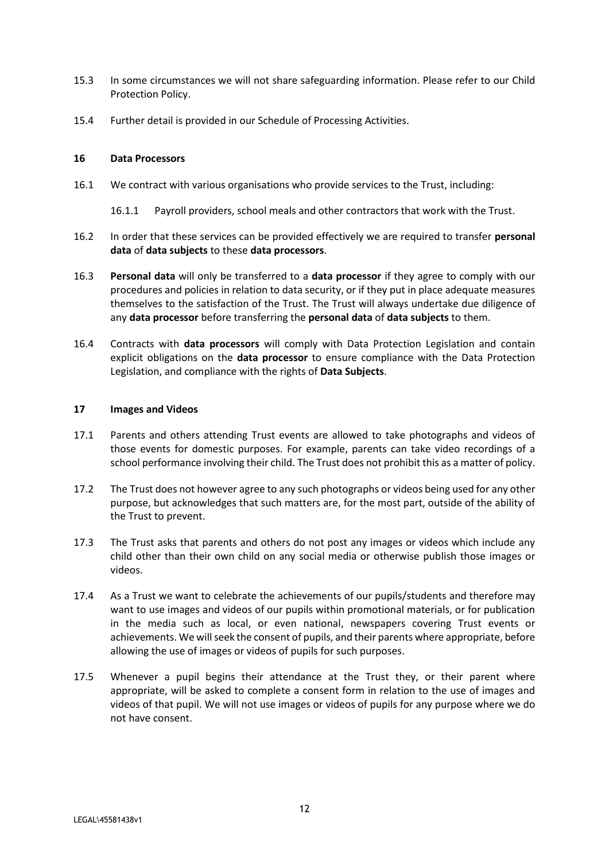- 15.3 In some circumstances we will not share safeguarding information. Please refer to our Child Protection Policy.
- 15.4 Further detail is provided in our Schedule of Processing Activities.

#### <span id="page-11-0"></span>**16 Data Processors**

- 16.1 We contract with various organisations who provide services to the Trust, including:
	- 16.1.1 Payroll providers, school meals and other contractors that work with the Trust.
- 16.2 In order that these services can be provided effectively we are required to transfer **personal data** of **data subjects** to these **data processors**.
- 16.3 **Personal data** will only be transferred to a **data processor** if they agree to comply with our procedures and policies in relation to data security, or if they put in place adequate measures themselves to the satisfaction of the Trust. The Trust will always undertake due diligence of any **data processor** before transferring the **personal data** of **data subjects** to them.
- 16.4 Contracts with **data processors** will comply with Data Protection Legislation and contain explicit obligations on the **data processor** to ensure compliance with the Data Protection Legislation, and compliance with the rights of **Data Subjects**.

#### <span id="page-11-1"></span>**17 Images and Videos**

- 17.1 Parents and others attending Trust events are allowed to take photographs and videos of those events for domestic purposes. For example, parents can take video recordings of a school performance involving their child. The Trust does not prohibit this as a matter of policy.
- 17.2 The Trust does not however agree to any such photographs or videos being used for any other purpose, but acknowledges that such matters are, for the most part, outside of the ability of the Trust to prevent.
- 17.3 The Trust asks that parents and others do not post any images or videos which include any child other than their own child on any social media or otherwise publish those images or videos.
- 17.4 As a Trust we want to celebrate the achievements of our pupils/students and therefore may want to use images and videos of our pupils within promotional materials, or for publication in the media such as local, or even national, newspapers covering Trust events or achievements. We will seek the consent of pupils, and their parents where appropriate, before allowing the use of images or videos of pupils for such purposes.
- 17.5 Whenever a pupil begins their attendance at the Trust they, or their parent where appropriate, will be asked to complete a consent form in relation to the use of images and videos of that pupil. We will not use images or videos of pupils for any purpose where we do not have consent.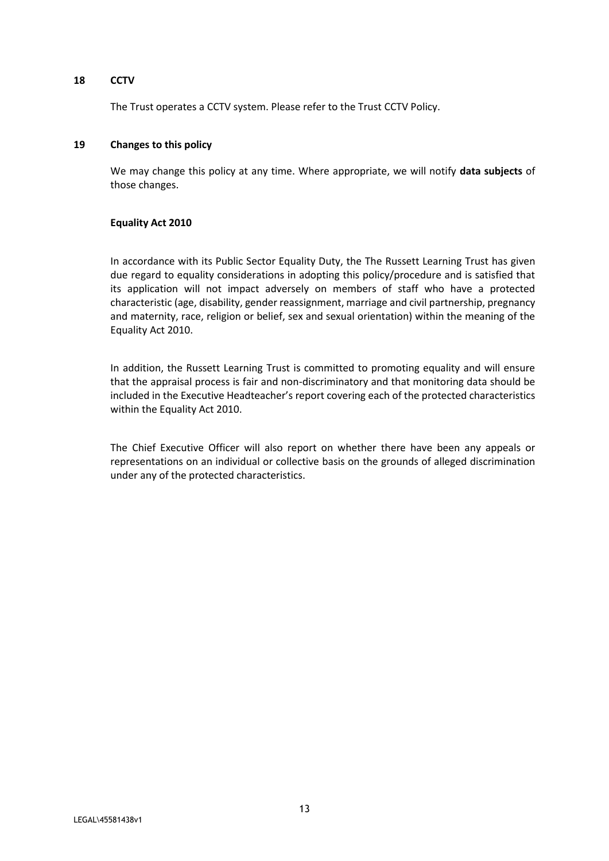#### <span id="page-12-0"></span>**18 CCTV**

The Trust operates a CCTV system. Please refer to the Trust CCTV Policy.

#### <span id="page-12-1"></span>**19 Changes to this policy**

We may change this policy at any time. Where appropriate, we will notify **data subjects** of those changes.

#### **Equality Act 2010**

In accordance with its Public Sector Equality Duty, the The Russett Learning Trust has given due regard to equality considerations in adopting this policy/procedure and is satisfied that its application will not impact adversely on members of staff who have a protected characteristic (age, disability, gender reassignment, marriage and civil partnership, pregnancy and maternity, race, religion or belief, sex and sexual orientation) within the meaning of the Equality Act 2010.

In addition, the Russett Learning Trust is committed to promoting equality and will ensure that the appraisal process is fair and non-discriminatory and that monitoring data should be included in the Executive Headteacher's report covering each of the protected characteristics within the Equality Act 2010.

The Chief Executive Officer will also report on whether there have been any appeals or representations on an individual or collective basis on the grounds of alleged discrimination under any of the protected characteristics.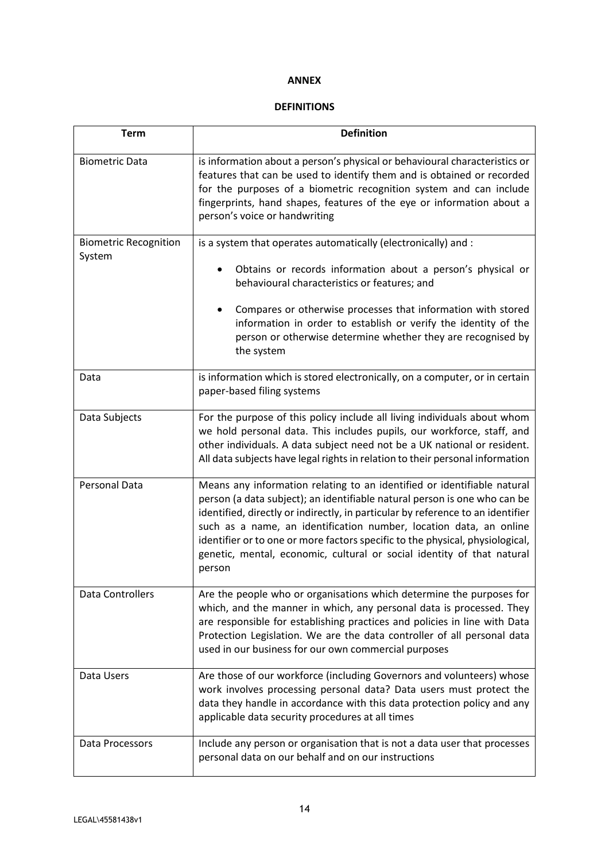#### **ANNEX**

# **DEFINITIONS**

| <b>Term</b>                            | <b>Definition</b>                                                                                                                                                                                                                                                                                                                                                                                                                                                                  |
|----------------------------------------|------------------------------------------------------------------------------------------------------------------------------------------------------------------------------------------------------------------------------------------------------------------------------------------------------------------------------------------------------------------------------------------------------------------------------------------------------------------------------------|
| <b>Biometric Data</b>                  | is information about a person's physical or behavioural characteristics or<br>features that can be used to identify them and is obtained or recorded<br>for the purposes of a biometric recognition system and can include<br>fingerprints, hand shapes, features of the eye or information about a<br>person's voice or handwriting                                                                                                                                               |
| <b>Biometric Recognition</b><br>System | is a system that operates automatically (electronically) and :<br>Obtains or records information about a person's physical or<br>behavioural characteristics or features; and<br>Compares or otherwise processes that information with stored<br>information in order to establish or verify the identity of the<br>person or otherwise determine whether they are recognised by<br>the system                                                                                     |
| Data                                   | is information which is stored electronically, on a computer, or in certain<br>paper-based filing systems                                                                                                                                                                                                                                                                                                                                                                          |
| Data Subjects                          | For the purpose of this policy include all living individuals about whom<br>we hold personal data. This includes pupils, our workforce, staff, and<br>other individuals. A data subject need not be a UK national or resident.<br>All data subjects have legal rights in relation to their personal information                                                                                                                                                                    |
| Personal Data                          | Means any information relating to an identified or identifiable natural<br>person (a data subject); an identifiable natural person is one who can be<br>identified, directly or indirectly, in particular by reference to an identifier<br>such as a name, an identification number, location data, an online<br>identifier or to one or more factors specific to the physical, physiological,<br>genetic, mental, economic, cultural or social identity of that natural<br>person |
| Data Controllers                       | Are the people who or organisations which determine the purposes for<br>which, and the manner in which, any personal data is processed. They<br>are responsible for establishing practices and policies in line with Data<br>Protection Legislation. We are the data controller of all personal data<br>used in our business for our own commercial purposes                                                                                                                       |
| Data Users                             | Are those of our workforce (including Governors and volunteers) whose<br>work involves processing personal data? Data users must protect the<br>data they handle in accordance with this data protection policy and any<br>applicable data security procedures at all times                                                                                                                                                                                                        |
| Data Processors                        | Include any person or organisation that is not a data user that processes<br>personal data on our behalf and on our instructions                                                                                                                                                                                                                                                                                                                                                   |